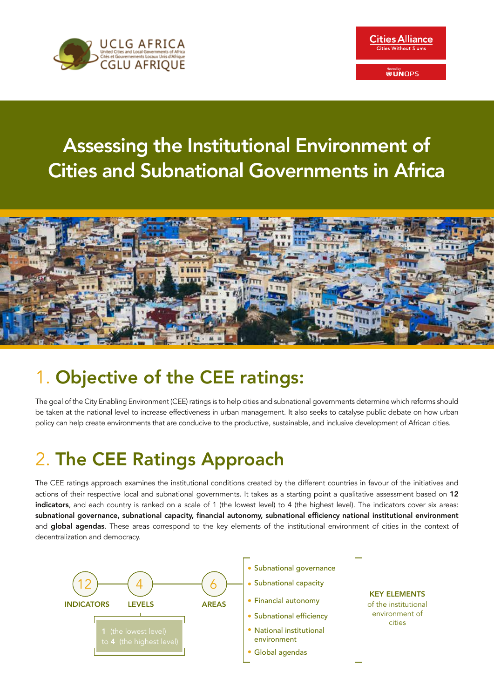



# Assessing the Institutional Environment of Cities and Subnational Governments in Africa



# 1. Objective of the CEE ratings:

The goal of the City Enabling Environment (CEE) ratings is to help cities and subnational governments determine which reforms should be taken at the national level to increase effectiveness in urban management. It also seeks to catalyse public debate on how urban policy can help create environments that are conducive to the productive, sustainable, and inclusive development of African cities.

# 2. The CEE Ratings Approach

The CEE ratings approach examines the institutional conditions created by the different countries in favour of the initiatives and actions of their respective local and subnational governments. It takes as a starting point a qualitative assessment based on 12 indicators, and each country is ranked on a scale of 1 (the lowest level) to 4 (the highest level). The indicators cover six areas: subnational governance, subnational capacity, financial autonomy, subnational efficiency national institutional environment and global agendas. These areas correspond to the key elements of the institutional environment of cities in the context of decentralization and democracy.

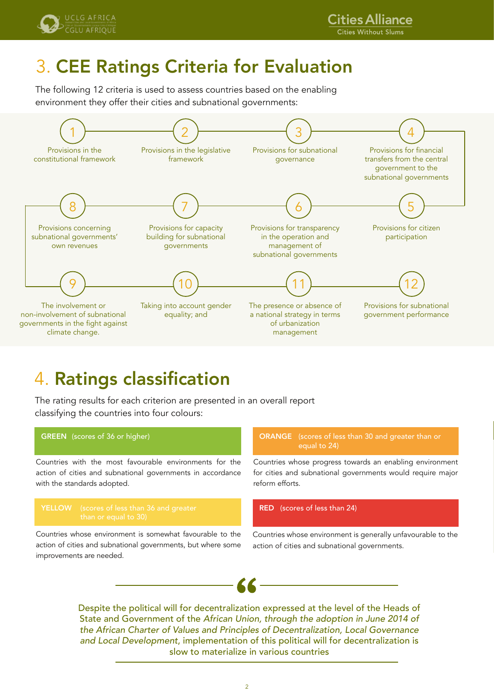



## 3. CEE Ratings Criteria for Evaluation

The following 12 criteria is used to assess countries based on the enabling environment they offer their cities and subnational governments:



## 4. Ratings classification

The rating results for each criterion are presented in an overall report classifying the countries into four colours:



*and Local Development*, implementation of this political will for decentralization is slow to materialize in various countries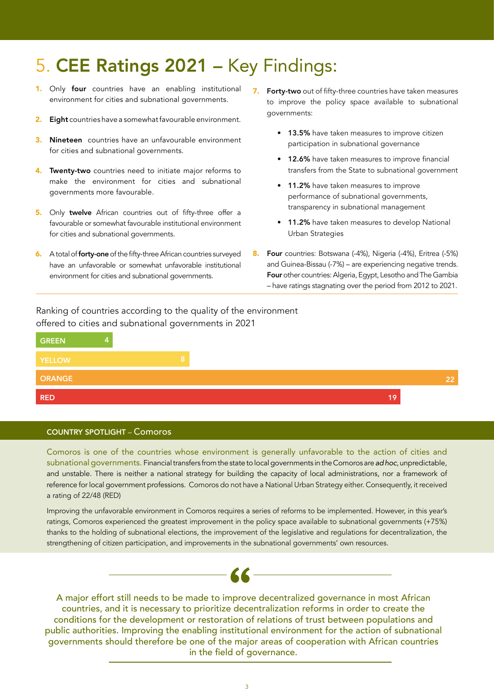## 5. CEE Ratings 2021 – Key Findings:

- 1. Only four countries have an enabling institutional environment for cities and subnational governments.
- 2. Eight countries have a somewhat favourable environment.
- **3.** Nineteen countries have an unfavourable environment for cities and subnational governments.
- 4. Twenty-two countries need to initiate major reforms to make the environment for cities and subnational governments more favourable.
- 5. Only twelve African countries out of fifty-three offer a favourable or somewhat favourable institutional environment for cities and subnational governments.
- **6.** A total of **forty-one** of the fifty-three African countries surveyed have an unfavorable or somewhat unfavorable institutional environment for cities and subnational governments.
- 7. Forty-two out of fifty-three countries have taken measures to improve the policy space available to subnational governments:
	- 13.5% have taken measures to improve citizen participation in subnational governance
	- 12.6% have taken measures to improve financial transfers from the State to subnational government
	- 11.2% have taken measures to improve performance of subnational governments, transparency in subnational management
	- 11.2% have taken measures to develop National Urban Strategies
- 8. Four countries: Botswana (-4%), Nigeria (-4%), Eritrea (-5%) and Guinea-Bissau (-7%) – are experiencing negative trends. Four other countries: Algeria, Egypt, Lesotho and The Gambia – have ratings stagnating over the period from 2012 to 2021.

Ranking of countries according to the quality of the environment offered to cities and subnational governments in 2021



### COUNTRY SPOTLIGHT – Comoros

Comoros is one of the countries whose environment is generally unfavorable to the action of cities and subnational governments. Financial transfers from the state to local governments in the Comoros are *ad hoc*, unpredictable, and unstable. There is neither a national strategy for building the capacity of local administrations, nor a framework of reference for local government professions. Comoros do not have a National Urban Strategy either. Consequently, it received a rating of 22/48 (RED)

Improving the unfavorable environment in Comoros requires a series of reforms to be implemented. However, in this year's ratings, Comoros experienced the greatest improvement in the policy space available to subnational governments (+75%) thanks to the holding of subnational elections, the improvement of the legislative and regulations for decentralization, the strengthening of citizen participation, and improvements in the subnational governments' own resources.



A major effort still needs to be made to improve decentralized governance in most African countries, and it is necessary to prioritize decentralization reforms in order to create the conditions for the development or restoration of relations of trust between populations and public authorities. Improving the enabling institutional environment for the action of subnational governments should therefore be one of the major areas of cooperation with African countries in the field of governance.